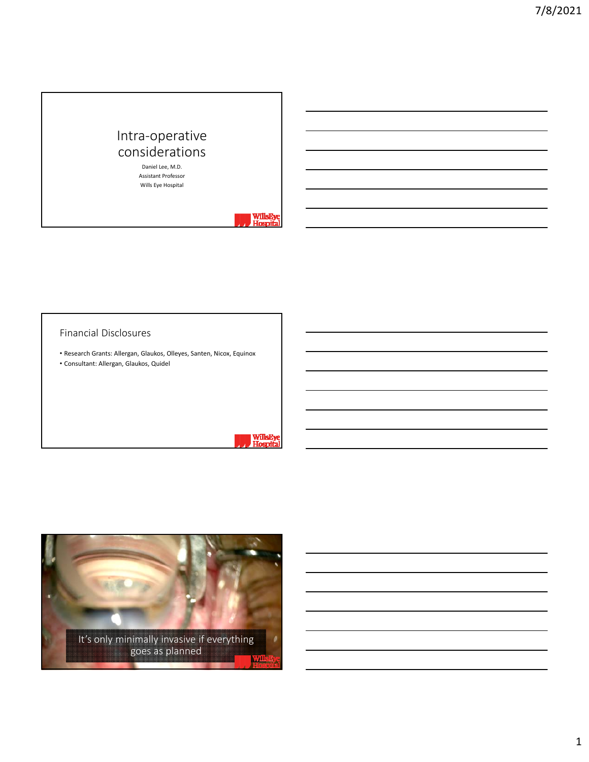

### Financial Disclosures

• Research Grants: Allergan, Glaukos, Olleyes, Santen, Nicox, Equinox • Consultant: Allergan, Glaukos, Quidel



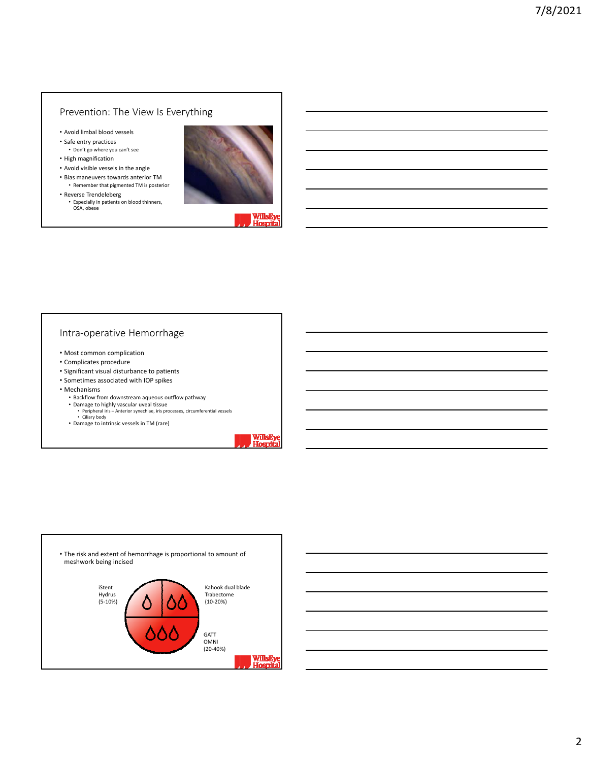### Prevention: The View Is Everything

- Avoid limbal blood vessels
- Safe entry practices • Don't go where you can't see
- High magnification
- Avoid visible vessels in the angle
- Bias maneuvers towards anterior TM • Remember that pigmented TM is posterior
- Reverse Trendeleberg
- Especially in patients on blood thinners, OSA, obese



Wils

### Intra‐operative Hemorrhage

- Most common complication
- Complicates procedure
- Significant visual disturbance to patients
- Sometimes associated with IOP spikes
- Mechanisms
	- Backflow from downstream aqueous outflow pathway
	- Damage to highly vascular uveal tissue • Peripheral iris – Anterior synechiae, iris processes, circumferential vessels • Ciliary body
		-
	- Damage to intrinsic vessels in TM (rare)



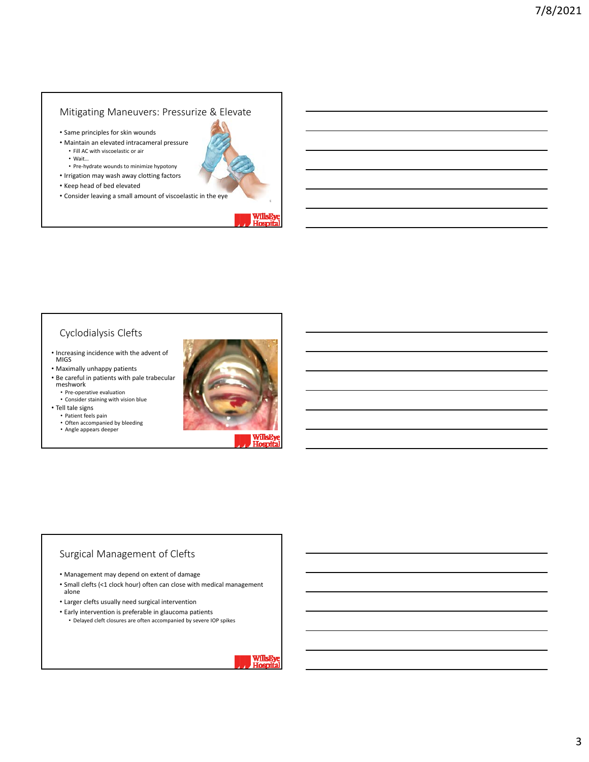## Mitigating Maneuvers: Pressurize & Elevate

- Same principles for skin wounds
- Maintain an elevated intracameral pressure • Fill AC with viscoelastic or air
	- Wait…
	- Pre‐hydrate wounds to minimize hypotony
- Irrigation may wash away clotting factors
- Keep head of bed elevated
- Consider leaving a small amount of viscoelastic in the eye



WillsE

# Cyclodialysis Clefts

- Increasing incidence with the advent of MIGS
- Maximally unhappy patients

• Be careful in patients with pale trabecular meshwork

- Pre-operative evaluation • Consider staining with vision blue
- Tell tale signs • Patient feels pain
	-
	- Often accompanied by bleeding Angle appears deeper



## Surgical Management of Clefts

- Management may depend on extent of damage
- Small clefts (<1 clock hour) often can close with medical management alone
- Larger clefts usually need surgical intervention
- Early intervention is preferable in glaucoma patients
- Delayed cleft closures are often accompanied by severe IOP spikes

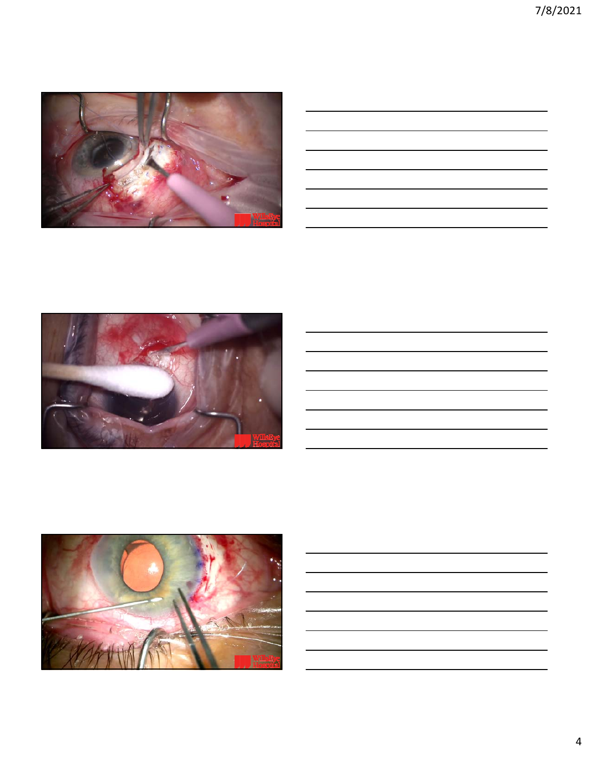

|  |  | <u> 1989 - Andrea Santa Andrea Santa Andrea Santa Andrea Santa Andrea Santa Andrea Santa Andrea Santa Andrea San</u>                                                 |
|--|--|----------------------------------------------------------------------------------------------------------------------------------------------------------------------|
|  |  | <u> 1989 - Johann Stoff, amerikansk politiker (d. 1989)</u>                                                                                                          |
|  |  | ,我们的人们也不会有什么?""我们的人们,我们也不会有什么?""我们的人们,我们的人们也不会有什么?""我们的人们,我们的人们的人们,我们的人们的人们,我们的人<br>第2011章 我们的人们的人们,我们的人们的人们的人们,我们的人们的人们的人们,我们的人们的人们的人们,我们的人们的人们的人们,我们的人们的人们的人们,我们的人 |
|  |  | <u> 1989 - Johann Harry Harry Harry Harry Harry Harry Harry Harry Harry Harry Harry Harry Harry Harry Harry Harry</u>                                                |
|  |  | <u> 1989 - Johann Stoff, deutscher Stoffen und der Stoffen und der Stoffen und der Stoffen und der Stoffen und der</u>                                               |
|  |  |                                                                                                                                                                      |



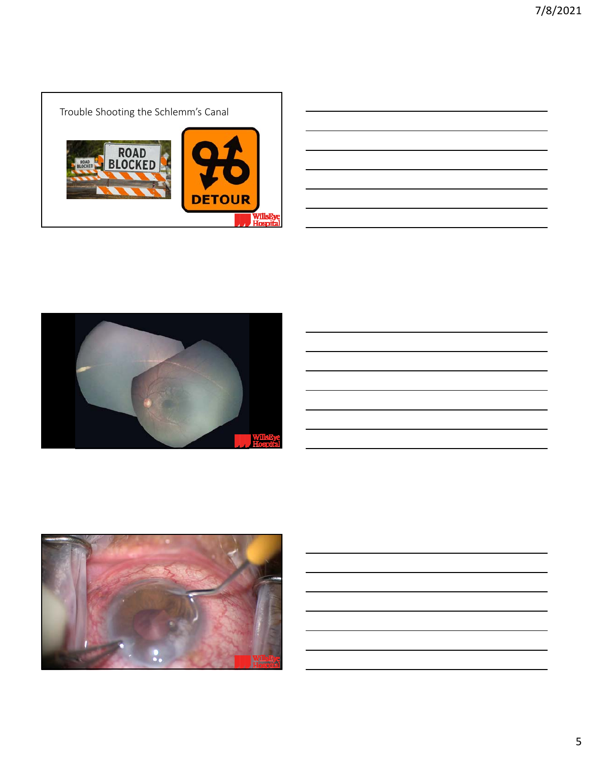Trouble Shooting the Schlemm's Canal



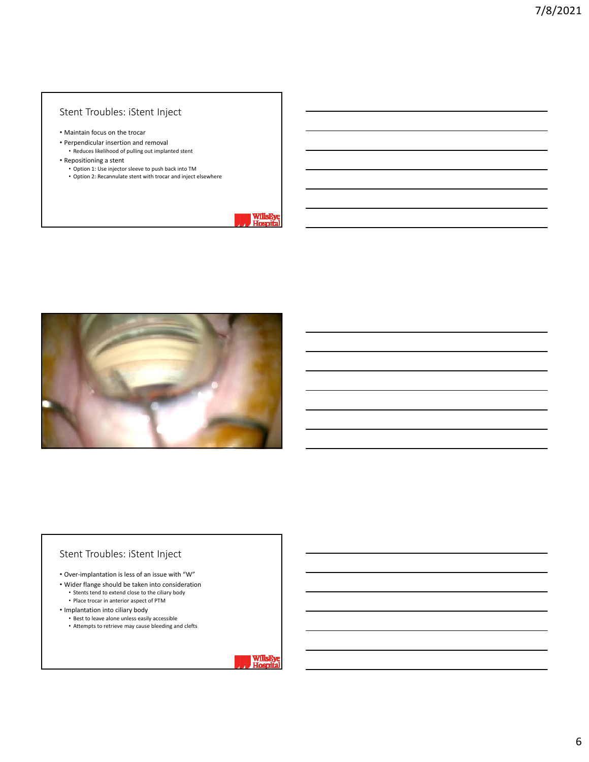## Stent Troubles: iStent Inject

- Maintain focus on the trocar
- Perpendicular insertion and removal • Reduces likelihood of pulling out implanted stent
- Repositioning a stent
	- Option 1: Use injector sleeve to push back into TM
	- Option 2: Recannulate stent with trocar and inject elsewhere





# Stent Troubles: iStent Inject

- Over‐implantation is less of an issue with "W"
- Wider flange should be taken into consideration
	- Stents tend to extend close to the ciliary body
	- Place trocar in anterior aspect of PTM
- Implantation into ciliary body
	- Best to leave alone unless easily accessible
	- Attempts to retrieve may cause bleeding and clefts